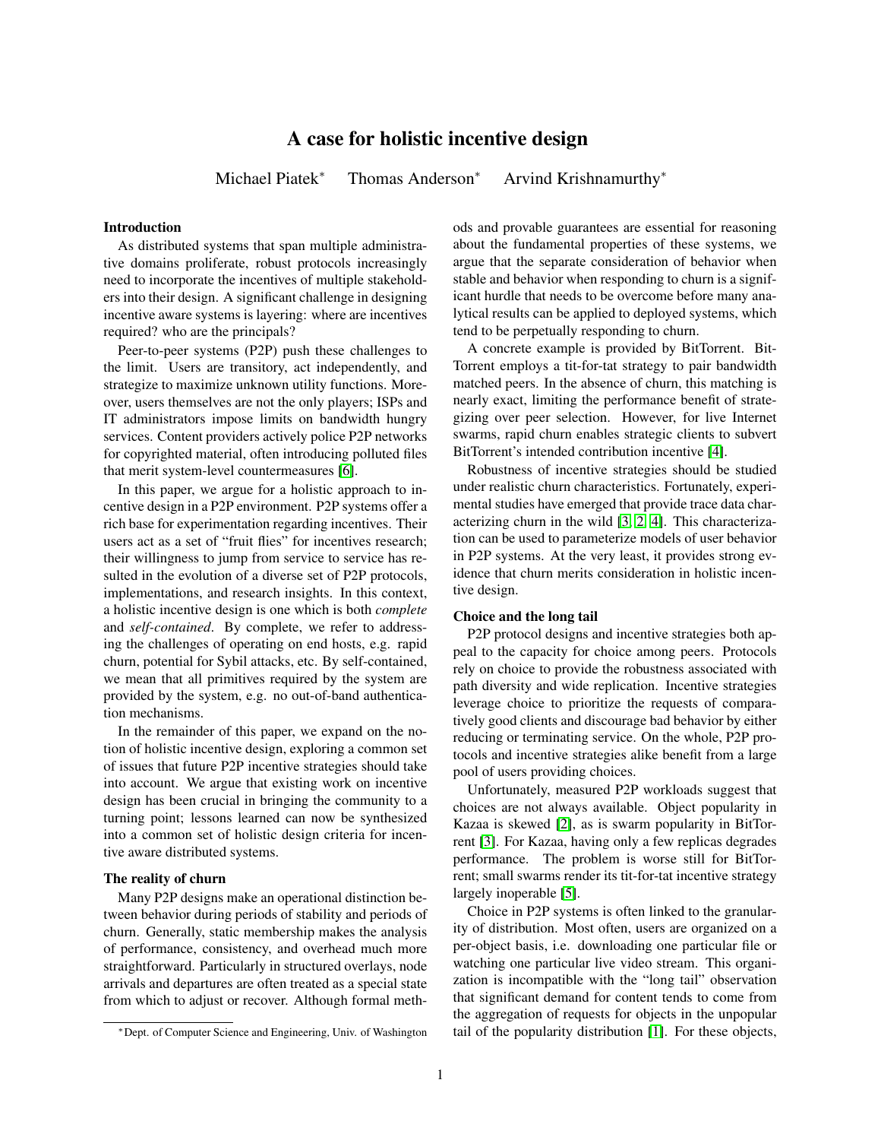# A case for holistic incentive design

Michael Piatek<sup>∗</sup> Thomas Anderson<sup>∗</sup> Arvind Krishnamurthy<sup>∗</sup>

## Introduction

As distributed systems that span multiple administrative domains proliferate, robust protocols increasingly need to incorporate the incentives of multiple stakeholders into their design. A significant challenge in designing incentive aware systems is layering: where are incentives required? who are the principals?

Peer-to-peer systems (P2P) push these challenges to the limit. Users are transitory, act independently, and strategize to maximize unknown utility functions. Moreover, users themselves are not the only players; ISPs and IT administrators impose limits on bandwidth hungry services. Content providers actively police P2P networks for copyrighted material, often introducing polluted files that merit system-level countermeasures [\[6\]](#page-1-0).

In this paper, we argue for a holistic approach to incentive design in a P2P environment. P2P systems offer a rich base for experimentation regarding incentives. Their users act as a set of "fruit flies" for incentives research; their willingness to jump from service to service has resulted in the evolution of a diverse set of P2P protocols, implementations, and research insights. In this context, a holistic incentive design is one which is both *complete* and *self-contained*. By complete, we refer to addressing the challenges of operating on end hosts, e.g. rapid churn, potential for Sybil attacks, etc. By self-contained, we mean that all primitives required by the system are provided by the system, e.g. no out-of-band authentication mechanisms.

In the remainder of this paper, we expand on the notion of holistic incentive design, exploring a common set of issues that future P2P incentive strategies should take into account. We argue that existing work on incentive design has been crucial in bringing the community to a turning point; lessons learned can now be synthesized into a common set of holistic design criteria for incentive aware distributed systems.

### The reality of churn

Many P2P designs make an operational distinction between behavior during periods of stability and periods of churn. Generally, static membership makes the analysis of performance, consistency, and overhead much more straightforward. Particularly in structured overlays, node arrivals and departures are often treated as a special state from which to adjust or recover. Although formal methods and provable guarantees are essential for reasoning about the fundamental properties of these systems, we argue that the separate consideration of behavior when stable and behavior when responding to churn is a significant hurdle that needs to be overcome before many analytical results can be applied to deployed systems, which tend to be perpetually responding to churn.

A concrete example is provided by BitTorrent. Bit-Torrent employs a tit-for-tat strategy to pair bandwidth matched peers. In the absence of churn, this matching is nearly exact, limiting the performance benefit of strategizing over peer selection. However, for live Internet swarms, rapid churn enables strategic clients to subvert BitTorrent's intended contribution incentive [\[4\]](#page-1-1).

Robustness of incentive strategies should be studied under realistic churn characteristics. Fortunately, experimental studies have emerged that provide trace data characterizing churn in the wild [\[3,](#page-1-2) [2,](#page-1-3) [4\]](#page-1-1). This characterization can be used to parameterize models of user behavior in P2P systems. At the very least, it provides strong evidence that churn merits consideration in holistic incentive design.

#### Choice and the long tail

P2P protocol designs and incentive strategies both appeal to the capacity for choice among peers. Protocols rely on choice to provide the robustness associated with path diversity and wide replication. Incentive strategies leverage choice to prioritize the requests of comparatively good clients and discourage bad behavior by either reducing or terminating service. On the whole, P2P protocols and incentive strategies alike benefit from a large pool of users providing choices.

Unfortunately, measured P2P workloads suggest that choices are not always available. Object popularity in Kazaa is skewed [\[2\]](#page-1-3), as is swarm popularity in BitTorrent [\[3\]](#page-1-2). For Kazaa, having only a few replicas degrades performance. The problem is worse still for BitTorrent; small swarms render its tit-for-tat incentive strategy largely inoperable [\[5\]](#page-1-4).

Choice in P2P systems is often linked to the granularity of distribution. Most often, users are organized on a per-object basis, i.e. downloading one particular file or watching one particular live video stream. This organization is incompatible with the "long tail" observation that significant demand for content tends to come from the aggregation of requests for objects in the unpopular tail of the popularity distribution [\[1\]](#page-1-5). For these objects,

<sup>∗</sup>Dept. of Computer Science and Engineering, Univ. of Washington